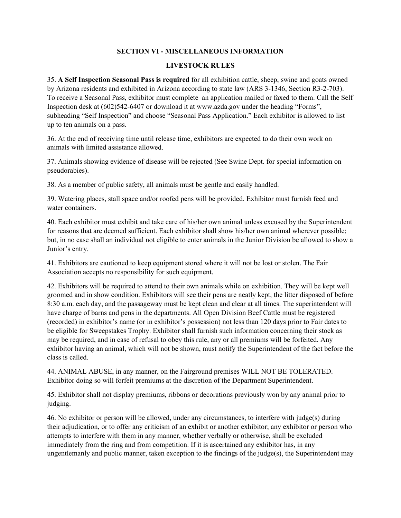## **SECTION VI - MISCELLANEOUS INFORMATION**

## **LIVESTOCK RULES**

35. **A Self Inspection Seasonal Pass is required** for all exhibition cattle, sheep, swine and goats owned by Arizona residents and exhibited in Arizona according to state law (ARS 3-1346, Section R3-2-703). To receive a Seasonal Pass, exhibitor must complete an application mailed or faxed to them. Call the Self Inspection desk at (602)542-6407 or download it at www.azda.gov under the heading "Forms", subheading "Self Inspection" and choose "Seasonal Pass Application." Each exhibitor is allowed to list up to ten animals on a pass.

36. At the end of receiving time until release time, exhibitors are expected to do their own work on animals with limited assistance allowed.

37. Animals showing evidence of disease will be rejected (See Swine Dept. for special information on pseudorabies).

38. As a member of public safety, all animals must be gentle and easily handled.

39. Watering places, stall space and/or roofed pens will be provided. Exhibitor must furnish feed and water containers.

40. Each exhibitor must exhibit and take care of his/her own animal unless excused by the Superintendent for reasons that are deemed sufficient. Each exhibitor shall show his/her own animal wherever possible; but, in no case shall an individual not eligible to enter animals in the Junior Division be allowed to show a Junior's entry.

41. Exhibitors are cautioned to keep equipment stored where it will not be lost or stolen. The Fair Association accepts no responsibility for such equipment.

42. Exhibitors will be required to attend to their own animals while on exhibition. They will be kept well groomed and in show condition. Exhibitors will see their pens are neatly kept, the litter disposed of before 8:30 a.m. each day, and the passageway must be kept clean and clear at all times. The superintendent will have charge of barns and pens in the departments. All Open Division Beef Cattle must be registered (recorded) in exhibitor's name (or in exhibitor's possession) not less than 120 days prior to Fair dates to be eligible for Sweepstakes Trophy. Exhibitor shall furnish such information concerning their stock as may be required, and in case of refusal to obey this rule, any or all premiums will be forfeited. Any exhibitor having an animal, which will not be shown, must notify the Superintendent of the fact before the class is called.

44. ANIMAL ABUSE, in any manner, on the Fairground premises WILL NOT BE TOLERATED. Exhibitor doing so will forfeit premiums at the discretion of the Department Superintendent.

45. Exhibitor shall not display premiums, ribbons or decorations previously won by any animal prior to judging.

46. No exhibitor or person will be allowed, under any circumstances, to interfere with judge(s) during their adjudication, or to offer any criticism of an exhibit or another exhibitor; any exhibitor or person who attempts to interfere with them in any manner, whether verbally or otherwise, shall be excluded immediately from the ring and from competition. If it is ascertained any exhibitor has, in any ungentlemanly and public manner, taken exception to the findings of the judge(s), the Superintendent may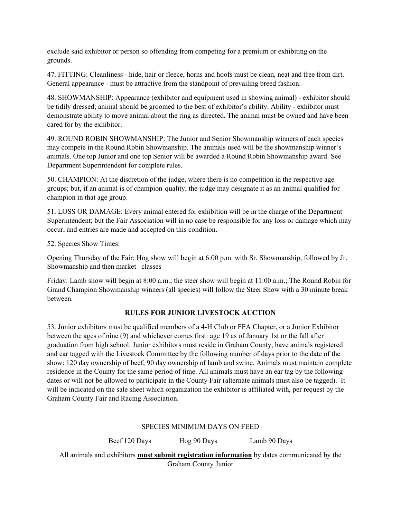exclude said exhibitor or person so offending from competing for a premium or exhibiting on the grounds.

47. FITTING: Cleanliness - hide, hair or fleece, horns and hoofs must be clean, neat and free from dirt. General appearance - must be attractive from the standpoint of prevailing breed fashion.

48. SHOWMANSHIP: Appearance (exhibitor and equipment used in showing animal) - exhibitor should be tidily dressed; animal should be groomed to the best of exhibitor's ability. Ability - exhibitor must demonstrate ability to move animal about the ring as directed. The animal must be owned and have been cared for by the exhibitor.

49. ROUND ROBIN SHOWMANSHIP: The Junior and Senior Showmanship winners of each species may compete in the Round Robin Showmanship. The animals used will be the showmanship winner's animals. One top Junior and one top Senior will be awarded a Round Robin Showmanship award. See Department Superintendent for complete rules.

50. CHAMPION: At the discretion of the judge, where there is no competition in the respective age groups; but, if an animal is of champion quality, the judge may designate it as an animal qualified for champion in that age group.

51. LOSS OR DAMAGE: Every animal entered for exhibition will be in the charge of the Department Superintendent; but the Fair Association will in no case be responsible for any loss or damage which may occur, and entries are made and accepted on this condition.

52. Species Show Times:

Opening Thursday of the Fair: Hog show will begin at 6:00 p.m. with Sr. Showmanship, followed by Jr. Showmanship and then market classes

Friday: Lamb show will begin at 8:00 a.m.; the steer show will begin at 11:00 a.m.; The Round Robin for Grand Champion Showmanship winners (all species) will follow the Steer Show with a 30 minute break between.

### **RULES FOR JUNIOR LIVESTOCK AUCTION**

53. Junior exhibitors must be qualified members of a 4-H Club or FFA Chapter, or a Junior Exhibitor between the ages of nine (9) and whichever comes first: age 19 as of January 1st or the fall after graduation from high school. Junior exhibitors must reside in Graham County, have animals registered and ear tagged with the Livestock Committee by the following number of days prior to the date of the show: 120 day ownership of beef; 90 day ownership of lamb and swine. Animals must maintain complete residence in the County for the same period of time. All animals must have an ear tag by the following dates or will not be allowed to participate in the County Fair (alternate animals must also be tagged). It will be indicated on the sale sheet which organization the exhibitor is affiliated with, per request by the Graham County Fair and Racing Association.

#### SPECIES MINIMUM DAYS ON FEED

Beef 120 Days Hog 90 Days Lamb 90 Days All animals and exhibitors **must submit registration information** by dates communicated by the Graham County Junior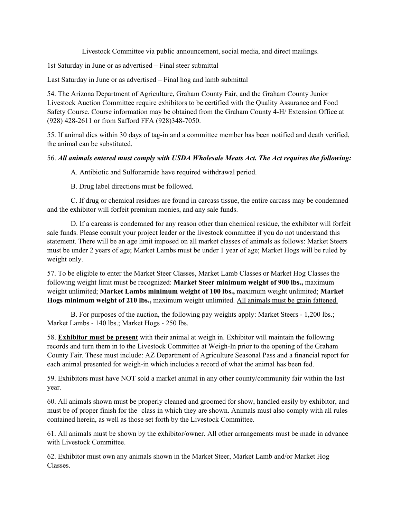Livestock Committee via public announcement, social media, and direct mailings.

1st Saturday in June or as advertised – Final steer submittal

Last Saturday in June or as advertised – Final hog and lamb submittal

54. The Arizona Department of Agriculture, Graham County Fair, and the Graham County Junior Livestock Auction Committee require exhibitors to be certified with the Quality Assurance and Food Safety Course. Course information may be obtained from the Graham County 4-H/ Extension Office at (928) 428-2611 or from Safford FFA (928)348-7050.

55. If animal dies within 30 days of tag-in and a committee member has been notified and death verified, the animal can be substituted.

# 56. *All animals entered must comply with USDA Wholesale Meats Act. The Act requires the following:*

A. Antibiotic and Sulfonamide have required withdrawal period.

B. Drug label directions must be followed.

 C. If drug or chemical residues are found in carcass tissue, the entire carcass may be condemned and the exhibitor will forfeit premium monies, and any sale funds.

 D. If a carcass is condemned for any reason other than chemical residue, the exhibitor will forfeit sale funds. Please consult your project leader or the livestock committee if you do not understand this statement. There will be an age limit imposed on all market classes of animals as follows: Market Steers must be under 2 years of age; Market Lambs must be under 1 year of age; Market Hogs will be ruled by weight only.

57. To be eligible to enter the Market Steer Classes, Market Lamb Classes or Market Hog Classes the following weight limit must be recognized: **Market Steer minimum weight of 900 lbs.,** maximum weight unlimited; **Market Lambs minimum weight of 100 lbs.,** maximum weight unlimited; **Market Hogs minimum weight of 210 lbs.,** maximum weight unlimited. All animals must be grain fattened.

 B. For purposes of the auction, the following pay weights apply: Market Steers - 1,200 lbs.; Market Lambs - 140 lbs.; Market Hogs - 250 lbs.

58. **Exhibitor must be present** with their animal at weigh in. Exhibitor will maintain the following records and turn them in to the Livestock Committee at Weigh-In prior to the opening of the Graham County Fair. These must include: AZ Department of Agriculture Seasonal Pass and a financial report for each animal presented for weigh-in which includes a record of what the animal has been fed.

59. Exhibitors must have NOT sold a market animal in any other county/community fair within the last year.

60. All animals shown must be properly cleaned and groomed for show, handled easily by exhibitor, and must be of proper finish for the class in which they are shown. Animals must also comply with all rules contained herein, as well as those set forth by the Livestock Committee.

61. All animals must be shown by the exhibitor/owner. All other arrangements must be made in advance with Livestock Committee.

62. Exhibitor must own any animals shown in the Market Steer, Market Lamb and/or Market Hog Classes.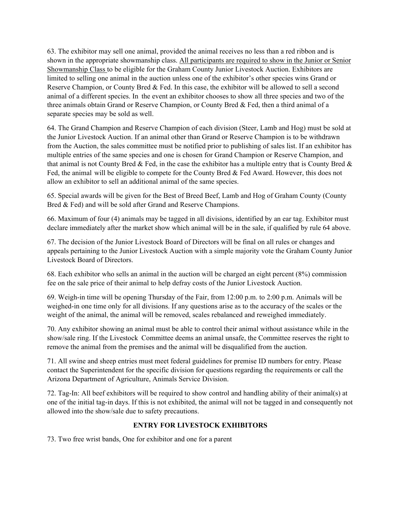63. The exhibitor may sell one animal, provided the animal receives no less than a red ribbon and is shown in the appropriate showmanship class. All participants are required to show in the Junior or Senior Showmanship Class to be eligible for the Graham County Junior Livestock Auction. Exhibitors are limited to selling one animal in the auction unless one of the exhibitor's other species wins Grand or Reserve Champion, or County Bred & Fed. In this case, the exhibitor will be allowed to sell a second animal of a different species. In the event an exhibitor chooses to show all three species and two of the three animals obtain Grand or Reserve Champion, or County Bred & Fed, then a third animal of a separate species may be sold as well.

64. The Grand Champion and Reserve Champion of each division (Steer, Lamb and Hog) must be sold at the Junior Livestock Auction. If an animal other than Grand or Reserve Champion is to be withdrawn from the Auction, the sales committee must be notified prior to publishing of sales list. If an exhibitor has multiple entries of the same species and one is chosen for Grand Champion or Reserve Champion, and that animal is not County Bred & Fed, in the case the exhibitor has a multiple entry that is County Bred  $\&$ Fed, the animal will be eligible to compete for the County Bred & Fed Award. However, this does not allow an exhibitor to sell an additional animal of the same species.

65. Special awards will be given for the Best of Breed Beef, Lamb and Hog of Graham County (County Bred & Fed) and will be sold after Grand and Reserve Champions.

66. Maximum of four (4) animals may be tagged in all divisions, identified by an ear tag. Exhibitor must declare immediately after the market show which animal will be in the sale, if qualified by rule 64 above.

67. The decision of the Junior Livestock Board of Directors will be final on all rules or changes and appeals pertaining to the Junior Livestock Auction with a simple majority vote the Graham County Junior Livestock Board of Directors.

68. Each exhibitor who sells an animal in the auction will be charged an eight percent (8%) commission fee on the sale price of their animal to help defray costs of the Junior Livestock Auction.

69. Weigh-in time will be opening Thursday of the Fair, from 12:00 p.m. to 2:00 p.m. Animals will be weighed-in one time only for all divisions. If any questions arise as to the accuracy of the scales or the weight of the animal, the animal will be removed, scales rebalanced and reweighed immediately.

70. Any exhibitor showing an animal must be able to control their animal without assistance while in the show/sale ring. If the Livestock Committee deems an animal unsafe, the Committee reserves the right to remove the animal from the premises and the animal will be disqualified from the auction.

71. All swine and sheep entries must meet federal guidelines for premise ID numbers for entry. Please contact the Superintendent for the specific division for questions regarding the requirements or call the Arizona Department of Agriculture, Animals Service Division.

72. Tag-In: All beef exhibitors will be required to show control and handling ability of their animal(s) at one of the initial tag-in days. If this is not exhibited, the animal will not be tagged in and consequently not allowed into the show/sale due to safety precautions.

# **ENTRY FOR LIVESTOCK EXHIBITORS**

73. Two free wrist bands, One for exhibitor and one for a parent